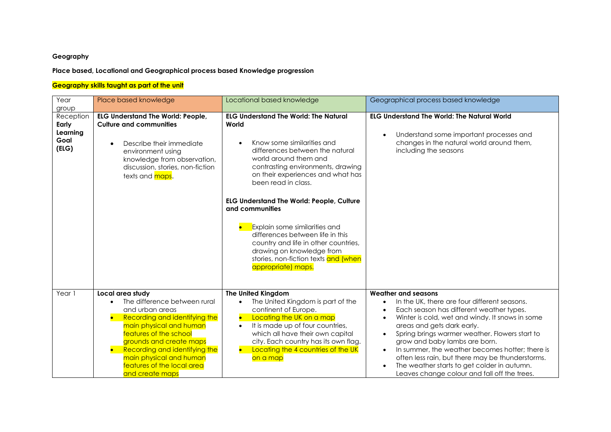## **Geography**

## **Place based, Locational and Geographical process based Knowledge progression**

## **Geography skills taught as part of the unit**

| Year<br>group                                   | Place based knowledge                                                                                                                                                                                                                                                                             | Locational based knowledge                                                                                                                                                                                                                                                                                                                                                                                                                                                                                                      | Geographical process based knowledge                                                                                                                                                                                                                                                                                                                                                                                                                                                                                |
|-------------------------------------------------|---------------------------------------------------------------------------------------------------------------------------------------------------------------------------------------------------------------------------------------------------------------------------------------------------|---------------------------------------------------------------------------------------------------------------------------------------------------------------------------------------------------------------------------------------------------------------------------------------------------------------------------------------------------------------------------------------------------------------------------------------------------------------------------------------------------------------------------------|---------------------------------------------------------------------------------------------------------------------------------------------------------------------------------------------------------------------------------------------------------------------------------------------------------------------------------------------------------------------------------------------------------------------------------------------------------------------------------------------------------------------|
| Reception<br>Early<br>Learning<br>Goal<br>(ELG) | <b>ELG Understand The World: People,</b><br><b>Culture and communities</b><br>Describe their immediate<br>environment using<br>knowledge from observation,<br>discussion, stories, non-fiction<br>texts and maps.                                                                                 | <b>ELG Understand The World: The Natural</b><br>World<br>Know some similarities and<br>differences between the natural<br>world around them and<br>contrasting environments, drawing<br>on their experiences and what has<br>been read in class.<br><b>ELG Understand The World: People, Culture</b><br>and communities<br>Explain some similarities and<br>differences between life in this<br>country and life in other countries,<br>drawing on knowledge from<br>stories, non-fiction texts and (when<br>appropriate) maps. | <b>ELG Understand The World: The Natural World</b><br>Understand some important processes and<br>changes in the natural world around them,<br>including the seasons                                                                                                                                                                                                                                                                                                                                                 |
| Year 1                                          | Local area study<br>The difference between rural<br>and urban areas<br>Recording and identifying the<br>main physical and human<br>features of the school<br>grounds and create maps<br>Recording and identifying the<br>main physical and human<br>features of the local area<br>and create maps | The United Kingdom<br>The United Kingdom is part of the<br>continent of Europe.<br>Locating the UK on a map<br>It is made up of four countries,<br>which all have their own capital<br>city. Each country has its own flag.<br>Locating the 4 countries of the UK<br>on a map                                                                                                                                                                                                                                                   | Weather and seasons<br>In the UK, there are four different seasons.<br>$\bullet$<br>Each season has different weather types.<br>Winter is cold, wet and windy. It snows in some<br>areas and gets dark early.<br>Spring brings warmer weather. Flowers start to<br>grow and baby lambs are born.<br>In summer, the weather becomes hotter; there is<br>$\bullet$<br>often less rain, but there may be thunderstorms.<br>The weather starts to get colder in autumn.<br>Leaves change colour and fall off the trees. |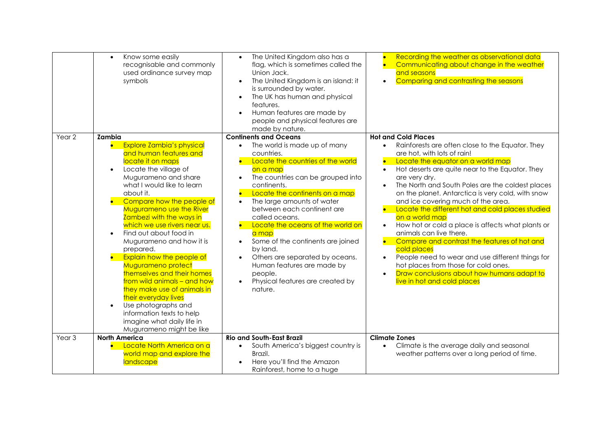|                   | Know some easily<br>$\bullet$<br>recognisable and commonly<br>used ordinance survey map<br>symbols                                                                                                                                                                                                                                                                                                                                                                                                                                                                                                                                                                            | The United Kingdom also has a<br>$\bullet$<br>flag, which is sometimes called the<br>Union Jack.<br>The United Kingdom is an island: it<br>is surrounded by water.<br>The UK has human and physical<br>$\bullet$<br>features.<br>Human features are made by<br>people and physical features are<br>made by nature.                                                                                                                                                                                                                                               | Recording the weather as observational data<br>Communicating about change in the weather<br>$\bullet$<br>and seasons<br>Comparing and contrasting the seasons<br>$\bullet$                                                                                                                                                                                                                                                                                                                                                                                                                                                                                                                                                                                                                                                                        |
|-------------------|-------------------------------------------------------------------------------------------------------------------------------------------------------------------------------------------------------------------------------------------------------------------------------------------------------------------------------------------------------------------------------------------------------------------------------------------------------------------------------------------------------------------------------------------------------------------------------------------------------------------------------------------------------------------------------|------------------------------------------------------------------------------------------------------------------------------------------------------------------------------------------------------------------------------------------------------------------------------------------------------------------------------------------------------------------------------------------------------------------------------------------------------------------------------------------------------------------------------------------------------------------|---------------------------------------------------------------------------------------------------------------------------------------------------------------------------------------------------------------------------------------------------------------------------------------------------------------------------------------------------------------------------------------------------------------------------------------------------------------------------------------------------------------------------------------------------------------------------------------------------------------------------------------------------------------------------------------------------------------------------------------------------------------------------------------------------------------------------------------------------|
| Year <sub>2</sub> | Zambia<br><b>Explore Zambia's physical</b><br>and human features and<br>locate it on maps<br>Locate the village of<br>$\bullet$<br>Mugurameno and share<br>what I would like to learn<br>about it.<br>Compare how the people of<br>Mugurameno use the River<br>Zambezi with the ways in<br>which we use rivers near us.<br>Find out about food in<br>$\bullet$<br>Mugurameno and how it is<br>prepared.<br>Explain how the people of<br>Mugurameno protect<br>themselves and their homes<br>from wild animals - and how<br>they make use of animals in<br>their everyday lives<br>Use photographs and<br>$\bullet$<br>information texts to help<br>imagine what daily life in | <b>Continents and Oceans</b><br>The world is made up of many<br>$\bullet$<br>countries.<br>Locate the countries of the world<br>on a map<br>The countries can be grouped into<br>$\bullet$<br>continents.<br>Locate the continents on a map<br>The large amounts of water<br>between each continent are<br>called oceans.<br>Locate the oceans of the world on<br>a map<br>Some of the continents are joined<br>by land.<br>Others are separated by oceans.<br>$\bullet$<br>Human features are made by<br>people.<br>Physical features are created by<br>nature. | <b>Hot and Cold Places</b><br>Rainforests are often close to the Equator. They<br>$\bullet$<br>are hot, with lots of rain!<br>Locate the equator on a world map<br>Hot deserts are quite near to the Equator. They<br>$\bullet$<br>are very dry.<br>The North and South Poles are the coldest places<br>$\bullet$<br>on the planet. Antarctica is very cold, with snow<br>and ice covering much of the area.<br>Locate the different hot and cold places studied<br>on a world map<br>How hot or cold a place is affects what plants or<br>$\bullet$<br>animals can live there.<br>Compare and contrast the features of hot and<br>cold places<br>People need to wear and use different things for<br>$\bullet$<br>hot places from those for cold ones.<br>Draw conclusions about how humans adapt to<br>$\bullet$<br>live in hot and cold places |
| Year <sub>3</sub> | Mugurameno might be like<br><b>North America</b>                                                                                                                                                                                                                                                                                                                                                                                                                                                                                                                                                                                                                              | <b>Rio and South-East Brazil</b>                                                                                                                                                                                                                                                                                                                                                                                                                                                                                                                                 | <b>Climate Zones</b>                                                                                                                                                                                                                                                                                                                                                                                                                                                                                                                                                                                                                                                                                                                                                                                                                              |
|                   | Locate North America on a<br>world map and explore the<br>landscape                                                                                                                                                                                                                                                                                                                                                                                                                                                                                                                                                                                                           | South America's biggest country is<br>$\bullet$<br>Brazil.<br>Here you'll find the Amazon<br>Rainforest, home to a huge                                                                                                                                                                                                                                                                                                                                                                                                                                          | Climate is the average daily and seasonal<br>$\bullet$<br>weather patterns over a long period of time.                                                                                                                                                                                                                                                                                                                                                                                                                                                                                                                                                                                                                                                                                                                                            |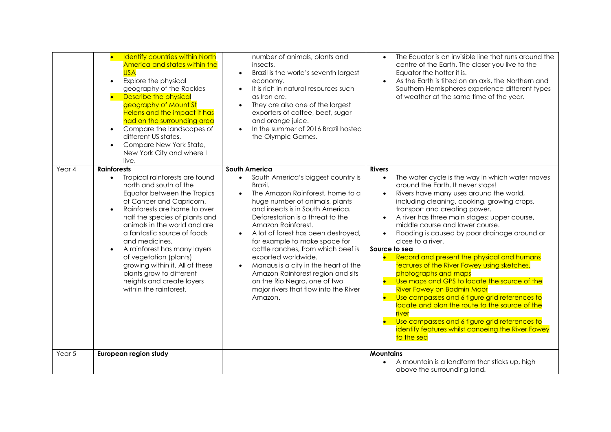|        | <b>Identify countries within North</b><br>$\bullet$<br>America and states within the<br><b>USA</b><br>Explore the physical<br>$\bullet$<br>geography of the Rockies<br>Describe the physical<br>geography of Mount St<br><b>Helens and the impact it has</b><br>had on the surrounding area<br>Compare the landscapes of<br>$\bullet$<br>different US states.<br>Compare New York State,<br>$\bullet$<br>New York City and where I<br>live.                                                                         | number of animals, plants and<br>insects.<br>Brazil is the world's seventh largest<br>$\bullet$<br>economy.<br>It is rich in natural resources such<br>as Iron ore.<br>They are also one of the largest<br>exporters of coffee, beef, sugar<br>and orange juice.<br>In the summer of 2016 Brazil hosted<br>the Olympic Games.                                                                                                                                                                                                                                      | The Equator is an invisible line that runs around the<br>$\bullet$<br>centre of the Earth. The closer you live to the<br>Equator the hotter it is.<br>As the Earth is tilted on an axis, the Northern and<br>Southern Hemispheres experience different types<br>of weather at the same time of the year.                                                                                                                                                                                                                                                                                                                                                                                                                                                                                                                                                                       |
|--------|---------------------------------------------------------------------------------------------------------------------------------------------------------------------------------------------------------------------------------------------------------------------------------------------------------------------------------------------------------------------------------------------------------------------------------------------------------------------------------------------------------------------|--------------------------------------------------------------------------------------------------------------------------------------------------------------------------------------------------------------------------------------------------------------------------------------------------------------------------------------------------------------------------------------------------------------------------------------------------------------------------------------------------------------------------------------------------------------------|--------------------------------------------------------------------------------------------------------------------------------------------------------------------------------------------------------------------------------------------------------------------------------------------------------------------------------------------------------------------------------------------------------------------------------------------------------------------------------------------------------------------------------------------------------------------------------------------------------------------------------------------------------------------------------------------------------------------------------------------------------------------------------------------------------------------------------------------------------------------------------|
| Year 4 | <b>Rainforests</b><br>Tropical rainforests are found<br>$\bullet$<br>north and south of the<br>Equator between the Tropics<br>of Cancer and Capricorn.<br>Rainforests are home to over<br>$\bullet$<br>half the species of plants and<br>animals in the world and are<br>a fantastic source of foods<br>and medicines.<br>A rainforest has many layers<br>$\bullet$<br>of vegetation (plants)<br>growing within it. All of these<br>plants grow to different<br>heights and create layers<br>within the rainforest. | South America<br>South America's biggest country is<br>$\bullet$<br>Brazil.<br>The Amazon Rainforest, home to a<br>huge number of animals, plants<br>and insects is in South America.<br>Deforestation is a threat to the<br>Amazon Rainforest.<br>A lot of forest has been destroyed,<br>for example to make space for<br>cattle ranches, from which beef is<br>exported worldwide.<br>Manaus is a city in the heart of the<br>$\bullet$<br>Amazon Rainforest region and sits<br>on the Rio Negro, one of two<br>major rivers that flow into the River<br>Amazon. | <b>Rivers</b><br>The water cycle is the way in which water moves<br>$\bullet$<br>around the Earth. It never stops!<br>Rivers have many uses around the world,<br>including cleaning, cooking, growing crops,<br>transport and creating power.<br>A river has three main stages: upper course,<br>middle course and lower course.<br>Flooding is caused by poor drainage around or<br>close to a river.<br>Source to sea<br>Record and present the physical and humans<br>$\bullet$<br>features of the River Fowey using sketches,<br>photographs and maps<br>Use maps and GPS to locate the source of the<br><b>River Fowey on Bodmin Moor</b><br>Use compasses and 6 figure grid references to<br>locate and plan the route to the source of the<br>river<br>Use compasses and 6 figure grid references to<br>identify features whilst canoeing the River Fowey<br>to the sea |
| Year 5 | European region study                                                                                                                                                                                                                                                                                                                                                                                                                                                                                               |                                                                                                                                                                                                                                                                                                                                                                                                                                                                                                                                                                    | <b>Mountains</b><br>A mountain is a landform that sticks up, high<br>$\bullet$<br>above the surrounding land.                                                                                                                                                                                                                                                                                                                                                                                                                                                                                                                                                                                                                                                                                                                                                                  |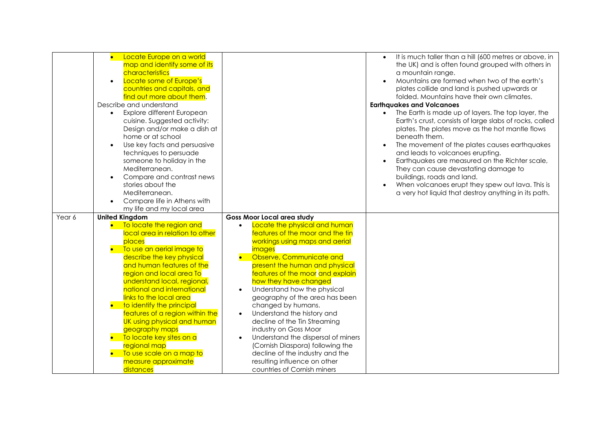|        | Locate Europe on a world<br>$\bullet$<br>map and identify some of its<br>characteristics<br>Locate some of Europe's<br>$\bullet$<br>countries and capitals, and<br>find out more about them.<br>Describe and understand<br>Explore different European<br>cuisine. Suggested activity:<br>Design and/or make a dish at<br>home or at school<br>Use key facts and persuasive<br>techniques to persuade<br>someone to holiday in the<br>Mediterranean.<br>Compare and contrast news<br>$\bullet$<br>stories about the<br>Mediterranean.<br>Compare life in Athens with<br>$\bullet$<br>my life and my local area |                                                                                                                                                           | It is much taller than a hill (600 metres or above, in<br>the UK) and is often found grouped with others in<br>a mountain range.<br>Mountains are formed when two of the earth's<br>plates collide and land is pushed upwards or<br>folded. Mountains have their own climates.<br><b>Earthavakes and Volcanoes</b><br>The Earth is made up of layers. The top layer, the<br>Earth's crust, consists of large slabs of rocks, called<br>plates. The plates move as the hot mantle flows<br>beneath them.<br>The movement of the plates causes earthquakes<br>and leads to volcanoes erupting.<br>Earthquakes are measured on the Richter scale,<br>They can cause devastating damage to<br>buildings, roads and land.<br>When volcanoes erupt they spew out lava. This is<br>a very hot liquid that destroy anything in its path. |
|--------|---------------------------------------------------------------------------------------------------------------------------------------------------------------------------------------------------------------------------------------------------------------------------------------------------------------------------------------------------------------------------------------------------------------------------------------------------------------------------------------------------------------------------------------------------------------------------------------------------------------|-----------------------------------------------------------------------------------------------------------------------------------------------------------|----------------------------------------------------------------------------------------------------------------------------------------------------------------------------------------------------------------------------------------------------------------------------------------------------------------------------------------------------------------------------------------------------------------------------------------------------------------------------------------------------------------------------------------------------------------------------------------------------------------------------------------------------------------------------------------------------------------------------------------------------------------------------------------------------------------------------------|
| Year 6 | <b>United Kingdom</b><br>To locate the region and<br>local area in relation to other<br>places<br>To use an aerial image to                                                                                                                                                                                                                                                                                                                                                                                                                                                                                   | <b>Goss Moor Local area study</b><br>Locate the physical and human<br>features of the moor and the tin<br>workings using maps and aerial<br><i>images</i> |                                                                                                                                                                                                                                                                                                                                                                                                                                                                                                                                                                                                                                                                                                                                                                                                                                  |
|        | describe the key physical<br>and human features of the<br>region and local area To<br>understand local, regional,                                                                                                                                                                                                                                                                                                                                                                                                                                                                                             | Observe, Communicate and<br>present the human and physical<br>features of the moor and explain<br>how they have changed                                   |                                                                                                                                                                                                                                                                                                                                                                                                                                                                                                                                                                                                                                                                                                                                                                                                                                  |
|        | national and international<br>links to the local area<br>to identify the principal<br>features of a region within the                                                                                                                                                                                                                                                                                                                                                                                                                                                                                         | Understand how the physical<br>$\bullet$<br>geography of the area has been<br>changed by humans.<br>Understand the history and<br>$\bullet$               |                                                                                                                                                                                                                                                                                                                                                                                                                                                                                                                                                                                                                                                                                                                                                                                                                                  |
|        | UK using physical and human<br>geography maps<br>• To locate key sites on a<br>regional map                                                                                                                                                                                                                                                                                                                                                                                                                                                                                                                   | decline of the Tin Streaming<br>industry on Goss Moor<br>Understand the dispersal of miners<br>$\bullet$<br>(Cornish Diaspora) following the              |                                                                                                                                                                                                                                                                                                                                                                                                                                                                                                                                                                                                                                                                                                                                                                                                                                  |
|        | To use scale on a map to<br>measure approximate                                                                                                                                                                                                                                                                                                                                                                                                                                                                                                                                                               | decline of the industry and the                                                                                                                           |                                                                                                                                                                                                                                                                                                                                                                                                                                                                                                                                                                                                                                                                                                                                                                                                                                  |